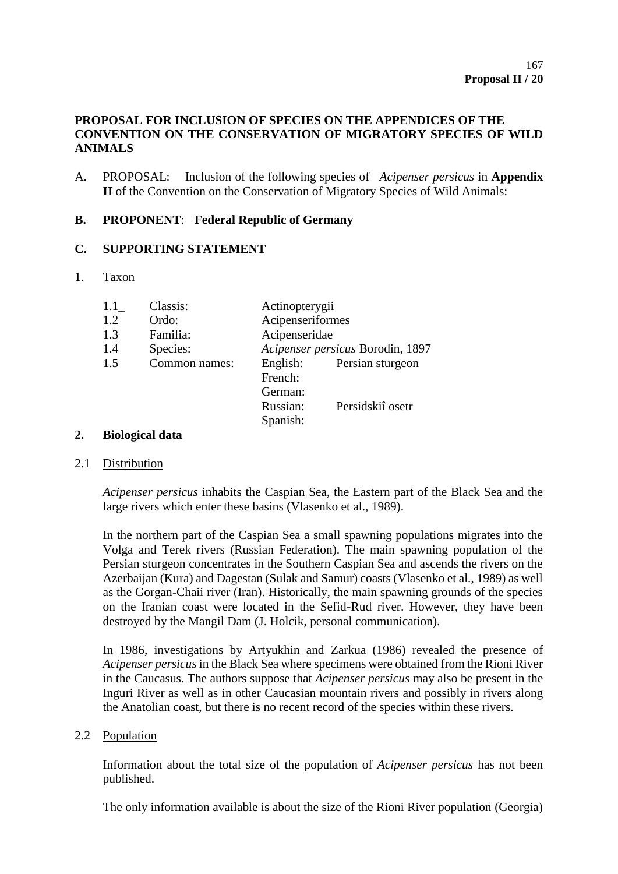# **PROPOSAL FOR INCLUSION OF SPECIES ON THE APPENDICES OF THE CONVENTION ON THE CONSERVATION OF MIGRATORY SPECIES OF WILD ANIMALS**

A. PROPOSAL: Inclusion of the following species of *Acipenser persicus* in **Appendix II** of the Convention on the Conservation of Migratory Species of Wild Animals:

# **B. PROPONENT**: **Federal Republic of Germany**

# **C. SUPPORTING STATEMENT**

### 1. Taxon

| 1.1 | Classis:      | Actinopterygii                   |                  |
|-----|---------------|----------------------------------|------------------|
| 1.2 | Ordo:         | Acipenseriformes                 |                  |
| 1.3 | Familia:      | Acipenseridae                    |                  |
| 1.4 | Species:      | Acipenser persicus Borodin, 1897 |                  |
| 1.5 | Common names: | English:                         | Persian sturgeon |
|     |               | French:                          |                  |
|     |               | German:                          |                  |
|     |               | Russian:                         | Persidskiî osetr |
|     |               | Spanish:                         |                  |

#### **2. Biological data**

#### 2.1 Distribution

*Acipenser persicus* inhabits the Caspian Sea, the Eastern part of the Black Sea and the large rivers which enter these basins (Vlasenko et al., 1989).

In the northern part of the Caspian Sea a small spawning populations migrates into the Volga and Terek rivers (Russian Federation). The main spawning population of the Persian sturgeon concentrates in the Southern Caspian Sea and ascends the rivers on the Azerbaijan (Kura) and Dagestan (Sulak and Samur) coasts (Vlasenko et al., 1989) as well as the Gorgan-Chaii river (Iran). Historically, the main spawning grounds of the species on the Iranian coast were located in the Sefid-Rud river. However, they have been destroyed by the Mangil Dam (J. Holcik, personal communication).

In 1986, investigations by Artyukhin and Zarkua (1986) revealed the presence of *Acipenser persicus* in the Black Sea where specimens were obtained from the Rioni River in the Caucasus. The authors suppose that *Acipenser persicus* may also be present in the Inguri River as well as in other Caucasian mountain rivers and possibly in rivers along the Anatolian coast, but there is no recent record of the species within these rivers.

#### 2.2 Population

Information about the total size of the population of *Acipenser persicus* has not been published.

The only information available is about the size of the Rioni River population (Georgia)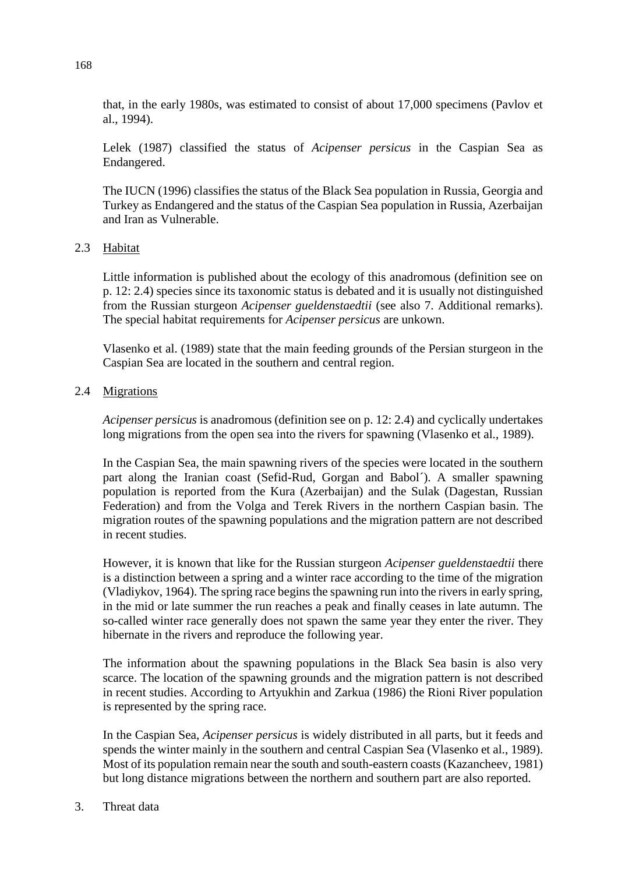that, in the early 1980s, was estimated to consist of about 17,000 specimens (Pavlov et al., 1994).

Lelek (1987) classified the status of *Acipenser persicus* in the Caspian Sea as Endangered.

The IUCN (1996) classifies the status of the Black Sea population in Russia, Georgia and Turkey as Endangered and the status of the Caspian Sea population in Russia, Azerbaijan and Iran as Vulnerable.

#### 2.3 Habitat

Little information is published about the ecology of this anadromous (definition see on p. 12: 2.4) species since its taxonomic status is debated and it is usually not distinguished from the Russian sturgeon *Acipenser gueldenstaedtii* (see also 7. Additional remarks). The special habitat requirements for *Acipenser persicus* are unkown.

Vlasenko et al. (1989) state that the main feeding grounds of the Persian sturgeon in the Caspian Sea are located in the southern and central region.

### 2.4 Migrations

*Acipenser persicus* is anadromous (definition see on p. 12: 2.4) and cyclically undertakes long migrations from the open sea into the rivers for spawning (Vlasenko et al., 1989).

In the Caspian Sea, the main spawning rivers of the species were located in the southern part along the Iranian coast (Sefid-Rud, Gorgan and Babol´). A smaller spawning population is reported from the Kura (Azerbaijan) and the Sulak (Dagestan, Russian Federation) and from the Volga and Terek Rivers in the northern Caspian basin. The migration routes of the spawning populations and the migration pattern are not described in recent studies.

However, it is known that like for the Russian sturgeon *Acipenser gueldenstaedtii* there is a distinction between a spring and a winter race according to the time of the migration (Vladiykov, 1964). The spring race begins the spawning run into the rivers in early spring, in the mid or late summer the run reaches a peak and finally ceases in late autumn. The so-called winter race generally does not spawn the same year they enter the river. They hibernate in the rivers and reproduce the following year.

The information about the spawning populations in the Black Sea basin is also very scarce. The location of the spawning grounds and the migration pattern is not described in recent studies. According to Artyukhin and Zarkua (1986) the Rioni River population is represented by the spring race.

In the Caspian Sea, *Acipenser persicus* is widely distributed in all parts, but it feeds and spends the winter mainly in the southern and central Caspian Sea (Vlasenko et al., 1989). Most of its population remain near the south and south-eastern coasts (Kazancheev, 1981) but long distance migrations between the northern and southern part are also reported.

3. Threat data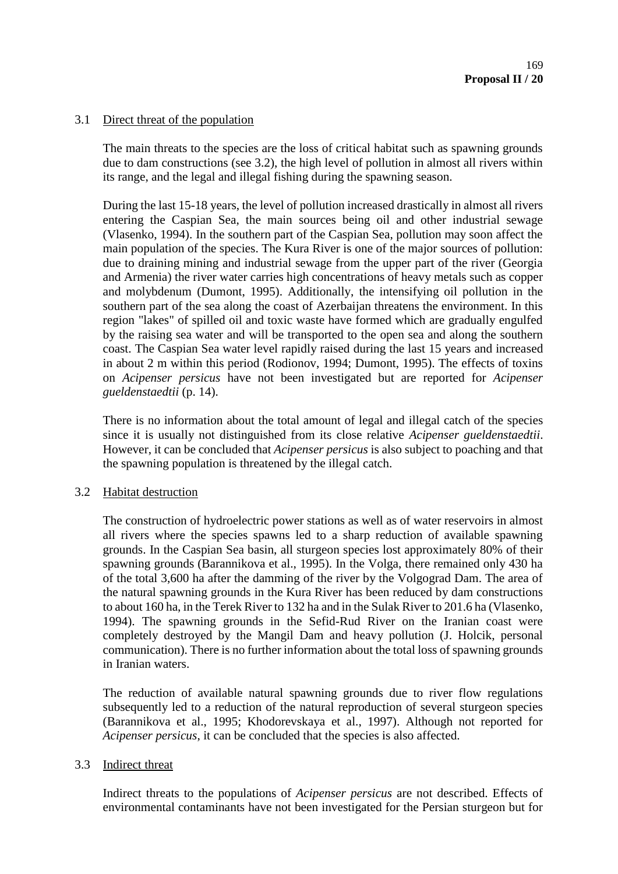### 3.1 Direct threat of the population

The main threats to the species are the loss of critical habitat such as spawning grounds due to dam constructions (see 3.2), the high level of pollution in almost all rivers within its range, and the legal and illegal fishing during the spawning season.

During the last 15-18 years, the level of pollution increased drastically in almost all rivers entering the Caspian Sea, the main sources being oil and other industrial sewage (Vlasenko, 1994). In the southern part of the Caspian Sea, pollution may soon affect the main population of the species. The Kura River is one of the major sources of pollution: due to draining mining and industrial sewage from the upper part of the river (Georgia and Armenia) the river water carries high concentrations of heavy metals such as copper and molybdenum (Dumont, 1995). Additionally, the intensifying oil pollution in the southern part of the sea along the coast of Azerbaijan threatens the environment. In this region "lakes" of spilled oil and toxic waste have formed which are gradually engulfed by the raising sea water and will be transported to the open sea and along the southern coast. The Caspian Sea water level rapidly raised during the last 15 years and increased in about 2 m within this period (Rodionov, 1994; Dumont, 1995). The effects of toxins on *Acipenser persicus* have not been investigated but are reported for *Acipenser gueldenstaedtii* (p. 14).

There is no information about the total amount of legal and illegal catch of the species since it is usually not distinguished from its close relative *Acipenser gueldenstaedtii*. However, it can be concluded that *Acipenser persicus* is also subject to poaching and that the spawning population is threatened by the illegal catch.

#### 3.2 Habitat destruction

The construction of hydroelectric power stations as well as of water reservoirs in almost all rivers where the species spawns led to a sharp reduction of available spawning grounds. In the Caspian Sea basin, all sturgeon species lost approximately 80% of their spawning grounds (Barannikova et al., 1995). In the Volga, there remained only 430 ha of the total 3,600 ha after the damming of the river by the Volgograd Dam. The area of the natural spawning grounds in the Kura River has been reduced by dam constructions to about 160 ha, in the Terek River to 132 ha and in the Sulak River to 201.6 ha (Vlasenko, 1994). The spawning grounds in the Sefid-Rud River on the Iranian coast were completely destroyed by the Mangil Dam and heavy pollution (J. Holcik, personal communication). There is no further information about the total loss of spawning grounds in Iranian waters.

The reduction of available natural spawning grounds due to river flow regulations subsequently led to a reduction of the natural reproduction of several sturgeon species (Barannikova et al., 1995; Khodorevskaya et al., 1997). Although not reported for *Acipenser persicus*, it can be concluded that the species is also affected.

# 3.3 Indirect threat

Indirect threats to the populations of *Acipenser persicus* are not described. Effects of environmental contaminants have not been investigated for the Persian sturgeon but for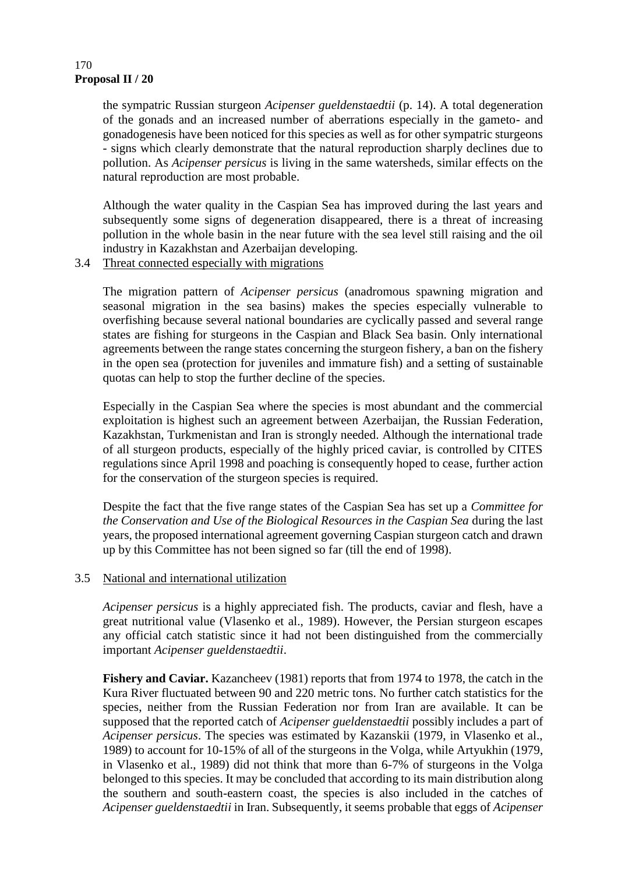#### **Proposal II / 20** 170

the sympatric Russian sturgeon *Acipenser gueldenstaedtii* (p. 14). A total degeneration of the gonads and an increased number of aberrations especially in the gameto- and gonadogenesis have been noticed for this species as well as for other sympatric sturgeons - signs which clearly demonstrate that the natural reproduction sharply declines due to pollution. As *Acipenser persicus* is living in the same watersheds, similar effects on the natural reproduction are most probable.

Although the water quality in the Caspian Sea has improved during the last years and subsequently some signs of degeneration disappeared, there is a threat of increasing pollution in the whole basin in the near future with the sea level still raising and the oil industry in Kazakhstan and Azerbaijan developing.

3.4 Threat connected especially with migrations

The migration pattern of *Acipenser persicus* (anadromous spawning migration and seasonal migration in the sea basins) makes the species especially vulnerable to overfishing because several national boundaries are cyclically passed and several range states are fishing for sturgeons in the Caspian and Black Sea basin. Only international agreements between the range states concerning the sturgeon fishery, a ban on the fishery in the open sea (protection for juveniles and immature fish) and a setting of sustainable quotas can help to stop the further decline of the species.

Especially in the Caspian Sea where the species is most abundant and the commercial exploitation is highest such an agreement between Azerbaijan, the Russian Federation, Kazakhstan, Turkmenistan and Iran is strongly needed. Although the international trade of all sturgeon products, especially of the highly priced caviar, is controlled by CITES regulations since April 1998 and poaching is consequently hoped to cease, further action for the conservation of the sturgeon species is required.

Despite the fact that the five range states of the Caspian Sea has set up a *Committee for the Conservation and Use of the Biological Resources in the Caspian Sea* during the last years, the proposed international agreement governing Caspian sturgeon catch and drawn up by this Committee has not been signed so far (till the end of 1998).

#### 3.5 National and international utilization

*Acipenser persicus* is a highly appreciated fish. The products, caviar and flesh, have a great nutritional value (Vlasenko et al., 1989). However, the Persian sturgeon escapes any official catch statistic since it had not been distinguished from the commercially important *Acipenser gueldenstaedtii*.

Fishery and Caviar. Kazancheev (1981) reports that from 1974 to 1978, the catch in the Kura River fluctuated between 90 and 220 metric tons. No further catch statistics for the species, neither from the Russian Federation nor from Iran are available. It can be supposed that the reported catch of *Acipenser gueldenstaedtii* possibly includes a part of *Acipenser persicus*. The species was estimated by Kazanskii (1979, in Vlasenko et al., 1989) to account for 10-15% of all of the sturgeons in the Volga, while Artyukhin (1979, in Vlasenko et al., 1989) did not think that more than 6-7% of sturgeons in the Volga belonged to this species. It may be concluded that according to its main distribution along the southern and south-eastern coast, the species is also included in the catches of *Acipenser gueldenstaedtii* in Iran. Subsequently, it seems probable that eggs of *Acipenser*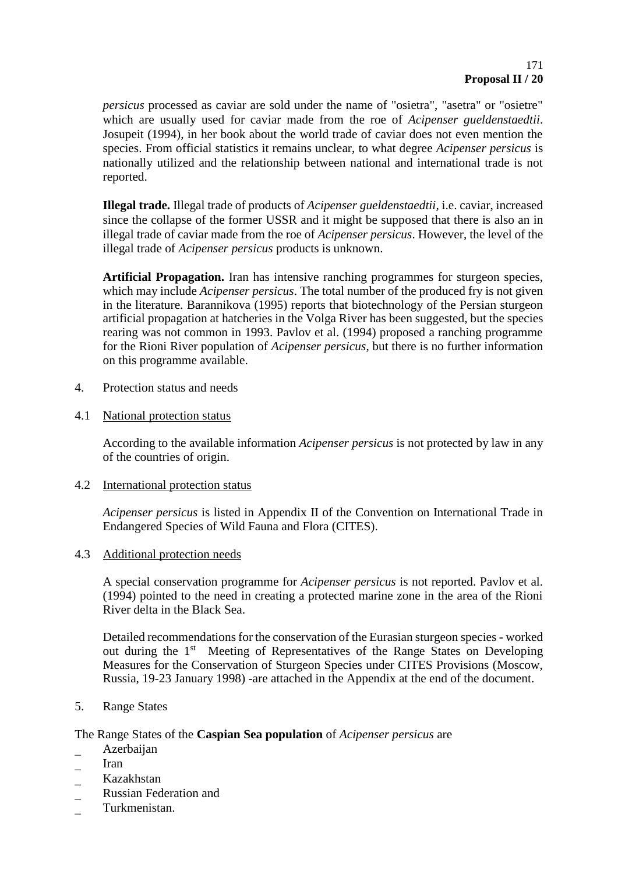*persicus* processed as caviar are sold under the name of "osietra", "asetra" or "osietre" which are usually used for caviar made from the roe of *Acipenser gueldenstaedtii*. Josupeit (1994), in her book about the world trade of caviar does not even mention the species. From official statistics it remains unclear, to what degree *Acipenser persicus* is nationally utilized and the relationship between national and international trade is not reported.

**Illegal trade.** Illegal trade of products of *Acipenser gueldenstaedtii*, i.e. caviar, increased since the collapse of the former USSR and it might be supposed that there is also an in illegal trade of caviar made from the roe of *Acipenser persicus*. However, the level of the illegal trade of *Acipenser persicus* products is unknown.

**Artificial Propagation.** Iran has intensive ranching programmes for sturgeon species, which may include *Acipenser persicus*. The total number of the produced fry is not given in the literature. Barannikova (1995) reports that biotechnology of the Persian sturgeon artificial propagation at hatcheries in the Volga River has been suggested, but the species rearing was not common in 1993. Pavlov et al. (1994) proposed a ranching programme for the Rioni River population of *Acipenser persicus*, but there is no further information on this programme available.

- 4. Protection status and needs
- 4.1 National protection status

According to the available information *Acipenser persicus* is not protected by law in any of the countries of origin.

4.2 International protection status

*Acipenser persicus* is listed in Appendix II of the Convention on International Trade in Endangered Species of Wild Fauna and Flora (CITES).

4.3 Additional protection needs

A special conservation programme for *Acipenser persicus* is not reported. Pavlov et al. (1994) pointed to the need in creating a protected marine zone in the area of the Rioni River delta in the Black Sea.

Detailed recommendations for the conservation of the Eurasian sturgeon species - worked out during the 1<sup>st</sup> Meeting of Representatives of the Range States on Developing Measures for the Conservation of Sturgeon Species under CITES Provisions (Moscow, Russia, 19-23 January 1998) -are attached in the Appendix at the end of the document.

5. Range States

#### The Range States of the **Caspian Sea population** of *Acipenser persicus* are

- Azerbaijan
- Iran
- Kazakhstan
- Russian Federation and
- Turkmenistan.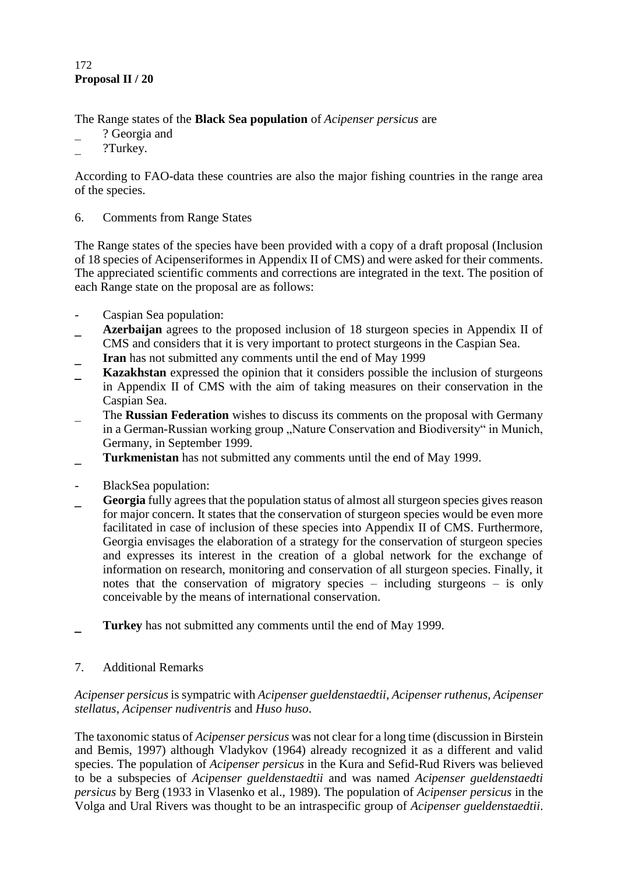### **Proposal II / 20** 172

The Range states of the **Black Sea population** of *Acipenser persicus* are

- ? Georgia and
- ?Turkey.

According to FAO-data these countries are also the major fishing countries in the range area of the species.

# 6. Comments from Range States

The Range states of the species have been provided with a copy of a draft proposal (Inclusion of 18 species of Acipenseriformes in Appendix II of CMS) and were asked for their comments. The appreciated scientific comments and corrections are integrated in the text. The position of each Range state on the proposal are as follows:

- Caspian Sea population:
- **Azerbaijan** agrees to the proposed inclusion of 18 sturgeon species in Appendix II of CMS and considers that it is very important to protect sturgeons in the Caspian Sea.
- **Iran** has not submitted any comments until the end of May 1999
- **Kazakhstan** expressed the opinion that it considers possible the inclusion of sturgeons in Appendix II of CMS with the aim of taking measures on their conservation in the Caspian Sea.
- The **Russian Federation** wishes to discuss its comments on the proposal with Germany in a German-Russian working group "Nature Conservation and Biodiversity" in Munich, Germany, in September 1999.
- **Turkmenistan** has not submitted any comments until the end of May 1999.
- BlackSea population:
- **Georgia** fully agrees that the population status of almost all sturgeon species gives reason for major concern. It states that the conservation of sturgeon species would be even more facilitated in case of inclusion of these species into Appendix II of CMS. Furthermore, Georgia envisages the elaboration of a strategy for the conservation of sturgeon species and expresses its interest in the creation of a global network for the exchange of information on research, monitoring and conservation of all sturgeon species. Finally, it notes that the conservation of migratory species – including sturgeons – is only conceivable by the means of international conservation.
- **Turkey** has not submitted any comments until the end of May 1999.
- 7. Additional Remarks

### *Acipenser persicus* is sympatric with *Acipenser gueldenstaedtii*, *Acipenser ruthenus, Acipenser stellatus*, *Acipenser nudiventris* and *Huso huso*.

The taxonomic status of *Acipenser persicus* was not clear for a long time (discussion in Birstein and Bemis, 1997) although Vladykov (1964) already recognized it as a different and valid species. The population of *Acipenser persicus* in the Kura and Sefid-Rud Rivers was believed to be a subspecies of *Acipenser gueldenstaedtii* and was named *Acipenser gueldenstaedti persicus* by Berg (1933 in Vlasenko et al., 1989). The population of *Acipenser persicus* in the Volga and Ural Rivers was thought to be an intraspecific group of *Acipenser gueldenstaedtii*.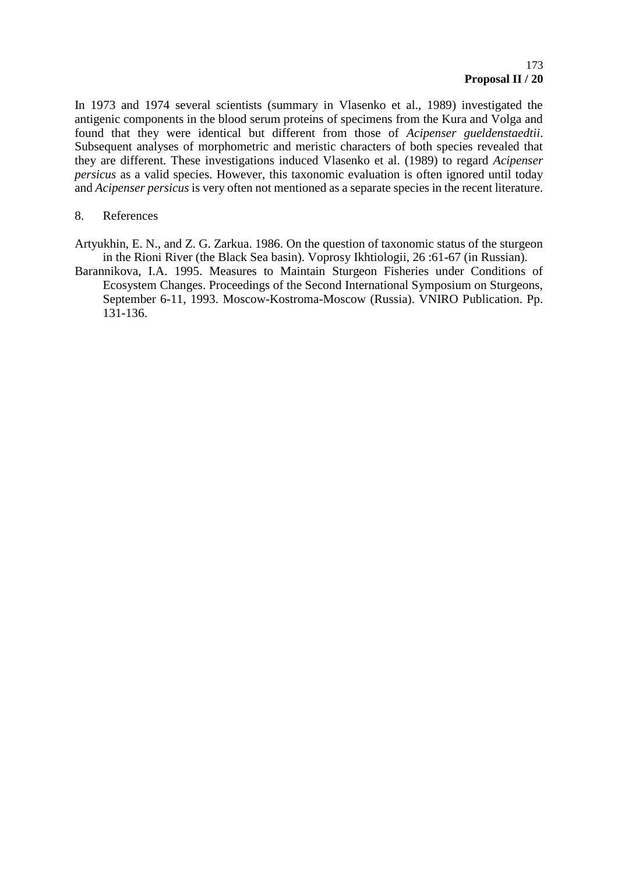In 1973 and 1974 several scientists (summary in Vlasenko et al., 1989) investigated the antigenic components in the blood serum proteins of specimens from the Kura and Volga and found that they were identical but different from those of *Acipenser gueldenstaedtii*. Subsequent analyses of morphometric and meristic characters of both species revealed that they are different. These investigations induced Vlasenko et al. (1989) to regard *Acipenser persicus* as a valid species. However, this taxonomic evaluation is often ignored until today and *Acipenser persicus* is very often not mentioned as a separate species in the recent literature.

#### 8. References

Artyukhin, E. N., and Z. G. Zarkua. 1986. On the question of taxonomic status of the sturgeon in the Rioni River (the Black Sea basin). Voprosy Ikhtiologii, 26 :61-67 (in Russian).

Barannikova, I.A. 1995. Measures to Maintain Sturgeon Fisheries under Conditions of Ecosystem Changes. Proceedings of the Second International Symposium on Sturgeons, September 6-11, 1993. Moscow-Kostroma-Moscow (Russia). VNIRO Publication. Pp. 131-136.